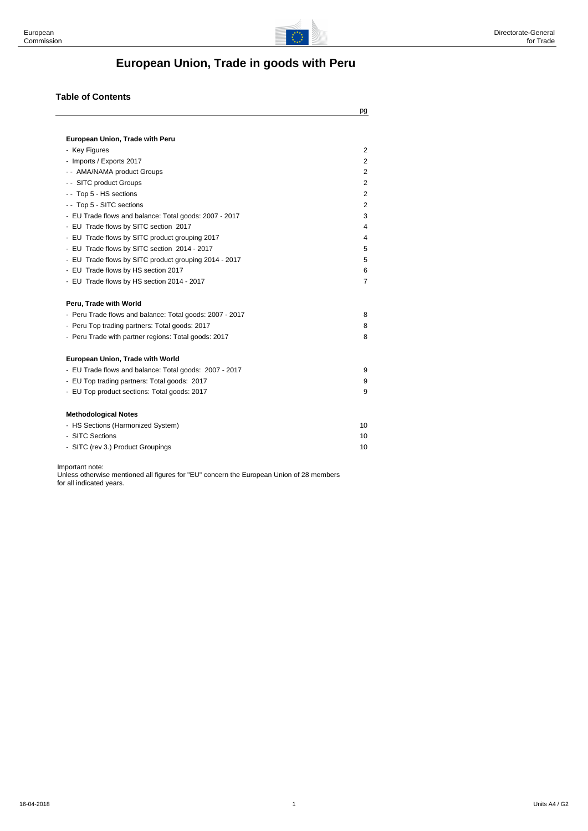

# **European Union, Trade in goods with Peru**

#### **Table of Contents**

| 2<br>$\overline{2}$ |
|---------------------|
|                     |
|                     |
|                     |
| $\overline{2}$      |
| 2                   |
|                     |
| $\overline{2}$      |
| 2                   |
| 3                   |
| 4                   |
| 4                   |
| 5                   |
| 5                   |
| 6                   |
| 7                   |
|                     |
| 8                   |
| 8                   |
| 8                   |
|                     |
| 9                   |
| 9                   |
| 9                   |
|                     |
| 10                  |
| 10                  |
| 10                  |
|                     |

Important note:

Unless otherwise mentioned all figures for "EU" concern the European Union of 28 members for all indicated years.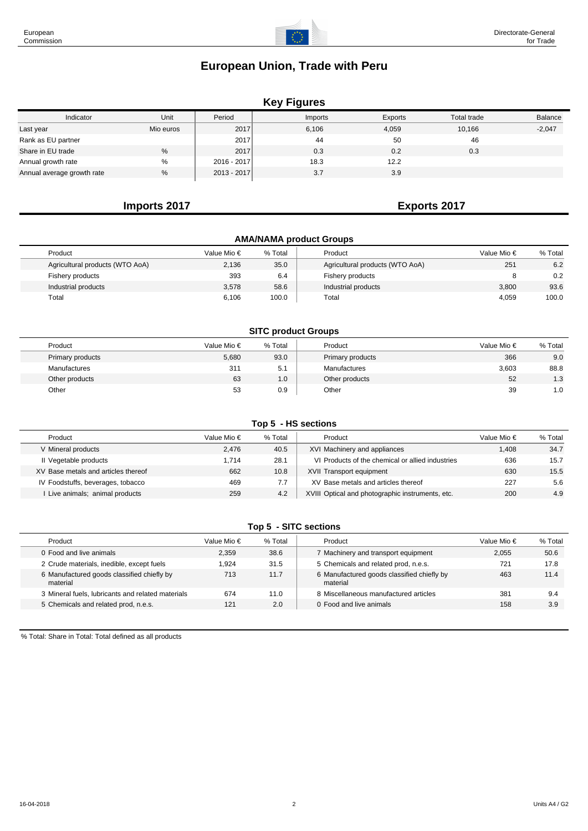# **Key Figures**

| Indicator                  | Unit      | Period        | Imports | Exports | Total trade | <b>Balance</b> |
|----------------------------|-----------|---------------|---------|---------|-------------|----------------|
| Last year                  | Mio euros | 2017          | 6,106   | 4,059   | 10,166      | $-2,047$       |
| Rank as EU partner         |           | 2017          | 44      | 50      | 46          |                |
| Share in EU trade          | %         | 2017          | 0.3     | 0.2     | 0.3         |                |
| Annual growth rate         | $\%$      | $2016 - 2017$ | 18.3    | 12.2    |             |                |
| Annual average growth rate | %         | $2013 - 2017$ | 3.7     | 3.9     |             |                |

# **Imports 2017 Exports 2017**

| <b>AMA/NAMA product Groups</b>  |             |         |                                 |                      |         |  |  |  |  |  |  |
|---------------------------------|-------------|---------|---------------------------------|----------------------|---------|--|--|--|--|--|--|
| Product                         | Value Mio € | % Total | Product                         | Value Mio $\epsilon$ | % Total |  |  |  |  |  |  |
| Agricultural products (WTO AoA) | 2,136       | 35.0    | Agricultural products (WTO AoA) | 251                  | 6.2     |  |  |  |  |  |  |
| Fishery products                | 393         | 6.4     | Fishery products                | 8                    | 0.2     |  |  |  |  |  |  |
| Industrial products             | 3.578       | 58.6    | Industrial products             | 3.800                | 93.6    |  |  |  |  |  |  |
| Total                           | 6,106       | 100.0   | Total                           | 4,059                | 100.0   |  |  |  |  |  |  |

#### **SITC product Groups**

| Product          | Value Mio € | % Total | Product          | Value Mio € | % Total |
|------------------|-------------|---------|------------------|-------------|---------|
| Primary products | 5,680       | 93.0    | Primary products | 366         | 9.0     |
| Manufactures     | 311         | 5.1     | Manufactures     | 3,603       | 88.8    |
| Other products   | 63          | 1.0     | Other products   | 52          | 1.3     |
| Other            | 53          | 0.9     | Other            | 39          | 1.0     |

#### **Top 5 - HS sections**

| Product                             | Value Mio € | % Total | Product                                          | Value Mio $\in$ | % Total |
|-------------------------------------|-------------|---------|--------------------------------------------------|-----------------|---------|
| V Mineral products                  | 2.476       | 40.5    | XVI Machinery and appliances                     | 1.408           | 34.7    |
| II Vegetable products               | 1.714       | 28.1    | VI Products of the chemical or allied industries | 636             | 15.7    |
| XV Base metals and articles thereof | 662         | 10.8    | XVII Transport equipment                         | 630             | 15.5    |
| IV Foodstuffs, beverages, tobacco   | 469         | 7.7     | XV Base metals and articles thereof              | 227             | 5.6     |
| Live animals; animal products       | 259         | 4.2     | XVIII Optical and photographic instruments, etc. | 200             | 4.9     |

#### **Top 5 - SITC sections**

| Product                                                | Value Mio € | % Total | Product                                                | Value Mio € | % Total |
|--------------------------------------------------------|-------------|---------|--------------------------------------------------------|-------------|---------|
| 0 Food and live animals                                | 2.359       | 38.6    | 7 Machinery and transport equipment                    | 2.055       | 50.6    |
| 2 Crude materials, inedible, except fuels              | 1.924       | 31.5    | 5 Chemicals and related prod, n.e.s.                   | 721         | 17.8    |
| 6 Manufactured goods classified chiefly by<br>material | 713         | 11.7    | 6 Manufactured goods classified chiefly by<br>material | 463         | 11.4    |
| 3 Mineral fuels, lubricants and related materials      | 674         | 11.0    | 8 Miscellaneous manufactured articles                  | 381         | 9.4     |
| 5 Chemicals and related prod, n.e.s.                   | 121         | 2.0     | 0 Food and live animals                                | 158         | 3.9     |
|                                                        |             |         |                                                        |             |         |

% Total: Share in Total: Total defined as all products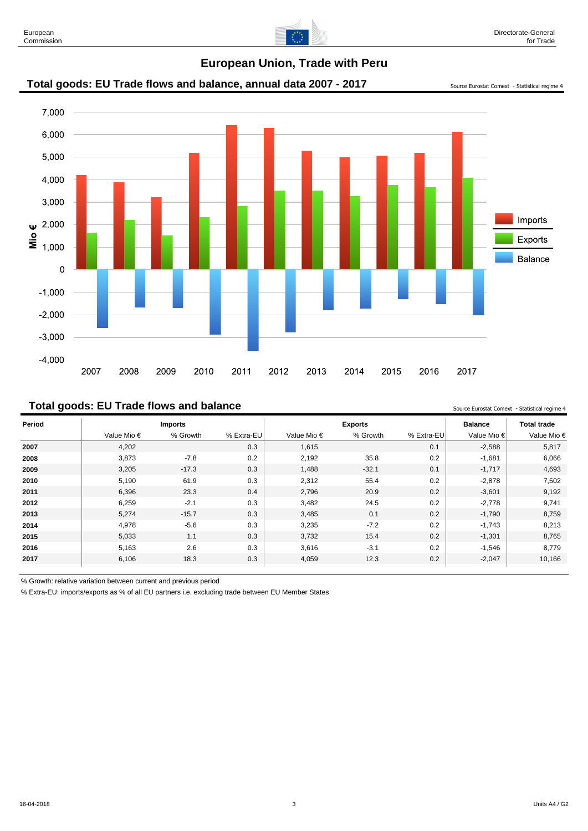

# Total goods: EU Trade flows and balance, annual data 2007 - 2017 Source Eurostat Comext - Statistical regime 4

#### **Total goods: EU Trade flows and balance** Source **In the Source Eurostat Comext** - Statistical reqime 4

**Period Imports Exports Balance Total trade** Value Mio € % Growth % Extra-EU Value Mio € % Growth % Extra-EU Value Mio € Value Mio € 4,202 0.3 1,615 0.1 -2,588 5,817 3,873 -7.8 0.2 2,192 35.8 0.2 -1,681 6,066 3,205 -17.3 0.3 1,488 -32.1 0.1 -1,717 4,693 5,190 61.9 0.3 2,312 55.4 0.2 -2,878 7,502 6,396 23.3 0.4 2,796 20.9 0.2 -3,601 9,192 6,259 -2.1 0.3 3,482 24.5 0.2 -2,778 9,741 5,274 -15.7 0.3 3,485 0.1 0.2 -1,790 8,759 4,978 -5.6 0.3 3,235 -7.2 0.2 -1,743 8,213 5,033 1.1 0.3 3,732 15.4 0.2 -1,301 8,765 5,163 2.6 0.3 3,616 -3.1 0.2 -1,546 8,779 6,106 18.3 0.3 4,059 12.3 0.2 -2,047 10,166

% Growth: relative variation between current and previous period

% Extra-EU: imports/exports as % of all EU partners i.e. excluding trade between EU Member States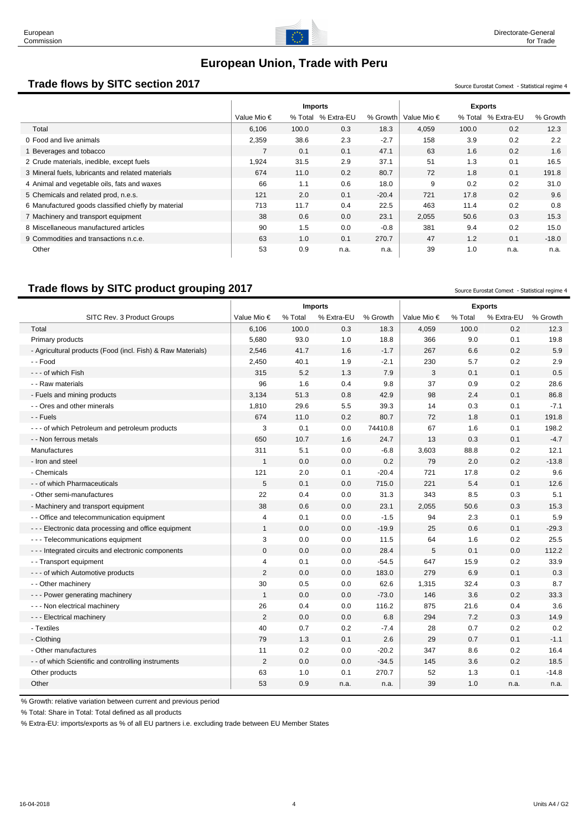

# **Trade flows by SITC section 2017** Source Eurostat Comext - Statistical regime 4

|                                                     | <b>Imports</b> |         |            |          |                      | <b>Exports</b> |            |          |
|-----------------------------------------------------|----------------|---------|------------|----------|----------------------|----------------|------------|----------|
|                                                     | Value Mio €    | % Total | % Extra-EU | % Growth | Value Mio $\epsilon$ | % Total        | % Extra-EU | % Growth |
| Total                                               | 6,106          | 100.0   | 0.3        | 18.3     | 4,059                | 100.0          | 0.2        | 12.3     |
| 0 Food and live animals                             | 2,359          | 38.6    | 2.3        | $-2.7$   | 158                  | 3.9            | 0.2        | 2.2      |
| Beverages and tobacco                               |                | 0.1     | 0.1        | 47.1     | 63                   | 1.6            | 0.2        | 1.6      |
| 2 Crude materials, inedible, except fuels           | 1,924          | 31.5    | 2.9        | 37.1     | 51                   | 1.3            | 0.1        | 16.5     |
| 3 Mineral fuels, lubricants and related materials   | 674            | 11.0    | 0.2        | 80.7     | 72                   | 1.8            | 0.1        | 191.8    |
| 4 Animal and vegetable oils, fats and waxes         | 66             | 1.1     | 0.6        | 18.0     | 9                    | 0.2            | 0.2        | 31.0     |
| 5 Chemicals and related prod, n.e.s.                | 121            | 2.0     | 0.1        | $-20.4$  | 721                  | 17.8           | 0.2        | 9.6      |
| 6 Manufactured goods classified chiefly by material | 713            | 11.7    | 0.4        | 22.5     | 463                  | 11.4           | 0.2        | 0.8      |
| 7 Machinery and transport equipment                 | 38             | 0.6     | 0.0        | 23.1     | 2,055                | 50.6           | 0.3        | 15.3     |
| 8 Miscellaneous manufactured articles               | 90             | 1.5     | 0.0        | $-0.8$   | 381                  | 9.4            | 0.2        | 15.0     |
| 9 Commodities and transactions n.c.e.               | 63             | 1.0     | 0.1        | 270.7    | 47                   | 1.2            | 0.1        | $-18.0$  |
| Other                                               | 53             | 0.9     | n.a.       | n.a.     | 39                   | 1.0            | n.a.       | n.a.     |

# **Trade flows by SITC product grouping 2017** Source Eurostat Comext - Statistical regime 4

|                                                             | <b>Imports</b><br><b>Exports</b> |         |            |          |             |         |            |          |
|-------------------------------------------------------------|----------------------------------|---------|------------|----------|-------------|---------|------------|----------|
| SITC Rev. 3 Product Groups                                  | Value Mio €                      | % Total | % Extra-EU | % Growth | Value Mio € | % Total | % Extra-EU | % Growth |
| Total                                                       | 6,106                            | 100.0   | 0.3        | 18.3     | 4,059       | 100.0   | 0.2        | 12.3     |
| Primary products                                            | 5,680                            | 93.0    | 1.0        | 18.8     | 366         | 9.0     | 0.1        | 19.8     |
| - Agricultural products (Food (incl. Fish) & Raw Materials) | 2,546                            | 41.7    | 1.6        | $-1.7$   | 267         | 6.6     | 0.2        | 5.9      |
| - - Food                                                    | 2,450                            | 40.1    | 1.9        | $-2.1$   | 230         | 5.7     | 0.2        | 2.9      |
| - - - of which Fish                                         | 315                              | 5.2     | 1.3        | 7.9      | 3           | 0.1     | 0.1        | 0.5      |
| - - Raw materials                                           | 96                               | 1.6     | 0.4        | 9.8      | 37          | 0.9     | 0.2        | 28.6     |
| - Fuels and mining products                                 | 3,134                            | 51.3    | 0.8        | 42.9     | 98          | 2.4     | 0.1        | 86.8     |
| - - Ores and other minerals                                 | 1,810                            | 29.6    | 5.5        | 39.3     | 14          | 0.3     | 0.1        | $-7.1$   |
| - - Fuels                                                   | 674                              | 11.0    | 0.2        | 80.7     | 72          | 1.8     | 0.1        | 191.8    |
| - - - of which Petroleum and petroleum products             | 3                                | 0.1     | 0.0        | 74410.8  | 67          | 1.6     | 0.1        | 198.2    |
| - - Non ferrous metals                                      | 650                              | 10.7    | 1.6        | 24.7     | 13          | 0.3     | 0.1        | $-4.7$   |
| Manufactures                                                | 311                              | 5.1     | 0.0        | $-6.8$   | 3,603       | 88.8    | 0.2        | 12.1     |
| - Iron and steel                                            | $\mathbf{1}$                     | 0.0     | 0.0        | 0.2      | 79          | 2.0     | 0.2        | $-13.8$  |
| - Chemicals                                                 | 121                              | 2.0     | 0.1        | $-20.4$  | 721         | 17.8    | 0.2        | 9.6      |
| - - of which Pharmaceuticals                                | 5                                | 0.1     | 0.0        | 715.0    | 221         | 5.4     | 0.1        | 12.6     |
| - Other semi-manufactures                                   | 22                               | 0.4     | 0.0        | 31.3     | 343         | 8.5     | 0.3        | 5.1      |
| - Machinery and transport equipment                         | 38                               | 0.6     | 0.0        | 23.1     | 2,055       | 50.6    | 0.3        | 15.3     |
| - - Office and telecommunication equipment                  | $\overline{4}$                   | 0.1     | 0.0        | $-1.5$   | 94          | 2.3     | 0.1        | 5.9      |
| --- Electronic data processing and office equipment         | $\mathbf{1}$                     | 0.0     | 0.0        | $-19.9$  | 25          | 0.6     | 0.1        | $-29.3$  |
| - - - Telecommunications equipment                          | 3                                | 0.0     | 0.0        | 11.5     | 64          | 1.6     | 0.2        | 25.5     |
| --- Integrated circuits and electronic components           | $\mathbf 0$                      | 0.0     | 0.0        | 28.4     | 5           | 0.1     | 0.0        | 112.2    |
| - - Transport equipment                                     | 4                                | 0.1     | 0.0        | $-54.5$  | 647         | 15.9    | 0.2        | 33.9     |
| - - - of which Automotive products                          | 2                                | 0.0     | 0.0        | 183.0    | 279         | 6.9     | 0.1        | 0.3      |
| - - Other machinery                                         | 30                               | 0.5     | 0.0        | 62.6     | 1,315       | 32.4    | 0.3        | 8.7      |
| - - - Power generating machinery                            | $\mathbf{1}$                     | 0.0     | 0.0        | $-73.0$  | 146         | 3.6     | 0.2        | 33.3     |
| - - - Non electrical machinery                              | 26                               | 0.4     | 0.0        | 116.2    | 875         | 21.6    | 0.4        | 3.6      |
| - - - Electrical machinery                                  | 2                                | 0.0     | 0.0        | 6.8      | 294         | 7.2     | 0.3        | 14.9     |
| - Textiles                                                  | 40                               | 0.7     | 0.2        | $-7.4$   | 28          | 0.7     | 0.2        | 0.2      |
| - Clothing                                                  | 79                               | 1.3     | 0.1        | 2.6      | 29          | 0.7     | 0.1        | $-1.1$   |
| - Other manufactures                                        | 11                               | 0.2     | 0.0        | $-20.2$  | 347         | 8.6     | 0.2        | 16.4     |
| - - of which Scientific and controlling instruments         | 2                                | 0.0     | 0.0        | $-34.5$  | 145         | 3.6     | 0.2        | 18.5     |
| Other products                                              | 63                               | 1.0     | 0.1        | 270.7    | 52          | 1.3     | 0.1        | $-14.8$  |
| Other                                                       | 53                               | 0.9     | n.a.       | n.a.     | 39          | 1.0     | n.a.       | n.a.     |

% Growth: relative variation between current and previous period

% Total: Share in Total: Total defined as all products

% Extra-EU: imports/exports as % of all EU partners i.e. excluding trade between EU Member States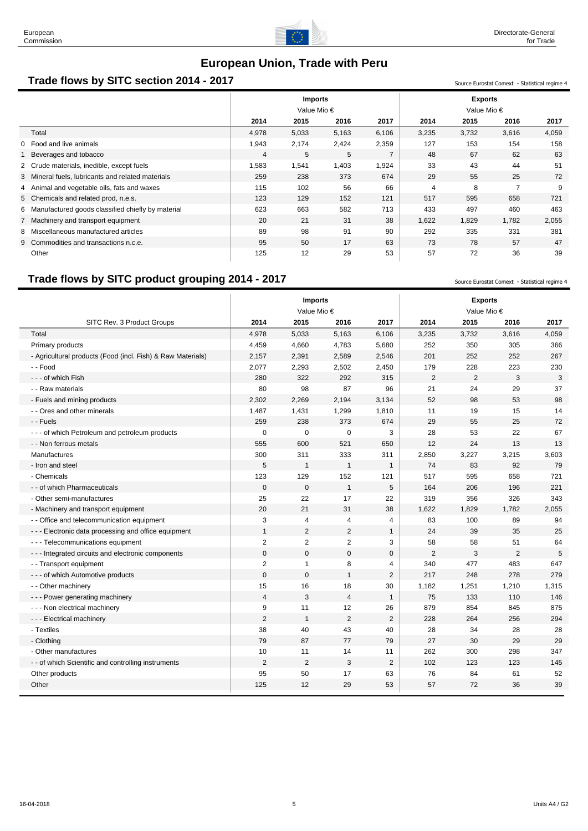

#### **Trade flows by SITC section 2014 - 2017** Source Eurostat Comext - Statistical regime 4

|                                                     | <b>Imports</b><br>Value Mio € |       |       |                | <b>Exports</b><br>Value Mio $\epsilon$ |       |                |       |
|-----------------------------------------------------|-------------------------------|-------|-------|----------------|----------------------------------------|-------|----------------|-------|
|                                                     | 2014                          | 2015  | 2016  | 2017           | 2014                                   | 2015  | 2016           | 2017  |
| Total                                               | 4,978                         | 5,033 | 5,163 | 6,106          | 3,235                                  | 3,732 | 3,616          | 4,059 |
| 0 Food and live animals                             | 1,943                         | 2,174 | 2,424 | 2,359          | 127                                    | 153   | 154            | 158   |
| Beverages and tobacco                               | $\overline{4}$                | 5     | 5     | $\overline{7}$ | 48                                     | 67    | 62             | 63    |
| 2 Crude materials, inedible, except fuels           | 1,583                         | 1,541 | 1,403 | 1,924          | 33                                     | 43    | 44             | 51    |
| 3 Mineral fuels, lubricants and related materials   | 259                           | 238   | 373   | 674            | 29                                     | 55    | 25             | 72    |
| 4 Animal and vegetable oils, fats and waxes         | 115                           | 102   | 56    | 66             | $\overline{4}$                         | 8     | $\overline{ }$ | 9     |
| 5 Chemicals and related prod, n.e.s.                | 123                           | 129   | 152   | 121            | 517                                    | 595   | 658            | 721   |
| 6 Manufactured goods classified chiefly by material | 623                           | 663   | 582   | 713            | 433                                    | 497   | 460            | 463   |
| 7 Machinery and transport equipment                 | 20                            | 21    | 31    | 38             | 1,622                                  | 1,829 | 1,782          | 2,055 |
| 8 Miscellaneous manufactured articles               | 89                            | 98    | 91    | 90             | 292                                    | 335   | 331            | 381   |
| 9 Commodities and transactions n.c.e.               | 95                            | 50    | 17    | 63             | 73                                     | 78    | 57             | 47    |
| Other                                               | 125                           | 12    | 29    | 53             | 57                                     | 72    | 36             | 39    |

## **Trade flows by SITC product grouping 2014 - 2017** Source Eurostat Comext - Statistical regime 4

**Imports Exports** Value Mio € Value Mio € SITC Rev. 3 Product Groups **2014 2015 2016 2017 2014 2015 2016 2017** Total 4,978 5,033 5,163 6,106 3,235 3,732 3,616 4,059 Primary products 4,459 4,660 4,783 5,680 252 350 305 366 - Agricultural products (Food (incl. Fish) & Raw Materials)  $\begin{array}{|l} \hline 2,157 & 2,391 & 2,589 & 2,546 \end{array}$  201 252 252 267 - - Food 2,077 2,293 2,502 2,450 179 228 223 230 - - of which Fish 280 322 292 315 | 2 2 3 3 3 - Raw materials | 80 98 87 96 | 21 24 29 37 - Fuels and mining products and the state of the control of the 2,302 2,269 2,194 3,134 52 98 53 98 - Ores and other minerals 14 1,487 1,431 1,299 1,810 11 19 15 14 - - Fuels 259 238 373 674 29 55 25 72 --- of which Petroleum and petroleum products  $\begin{array}{cccc} | & 0 & 0 & 0 & 3 & 28 & 53 & 22 & 67 \end{array}$ - Non ferrous metals 555 600 521 650 12 24 13 13 Manufactures 300 311 333 311 2,850 3,227 3,215 3,603 - Iron and steel 5 1 1 1 74 83 92 79 - Chemicals 123 129 152 121 517 595 658 721 - of which Pharmaceuticals 221 0 0 0 1 5 164 206 196 221 - Other semi-manufactures 243 25 22 17 22 319 356 326 343 - Machinery and transport equipment 1.625 1,622 1,829 1,782 2,055 -- Office and telecommunication equipment 1 3 4 4 4 4 83 100 89 94 ---Electronic data processing and office equipment  $\begin{array}{cccc} 1 & 2 & 2 & 1 & 24 & 39 & 35 & 25 \end{array}$ - - - Telecommunications equipment 2 2 2 3 58 58 51 64 --- Integrated circuits and electronic components  $\begin{array}{cccc} \vert & 0 & 0 & 0 & 0 \vert & 2 & 3 & 2 & 5 \end{array}$ - Transport equipment 12 1 2 1 8 4 340 477 483 647 --- of which Automotive products  $\begin{vmatrix} 0 & 0 & 1 & 2 \end{vmatrix}$  217 248 278 279 - Other machinery 15 16 18 30 | 1,182 1,251 1,210 1,315 -- Power generating machinery 14 1 4 4 3 4 1 4 1 75 133 110 146 -- Non electrical machinery 17 12 12 12 20 879 854 845 875 ---Electrical machinery 2 1 2 1 2 28 264 256 294 - Textiles 38 40 43 40 28 34 28 28 - Clothing 79 87 77 79 27 30 29 29 - Other manufactures 10 11 14 11 262 300 298 347 - of which Scientific and controlling instruments 145 2 2 3 3 2 102 123 123 145 Other products 50 17 63 76 84 61 52 Other 125 125 12 29 53 57 72 36 39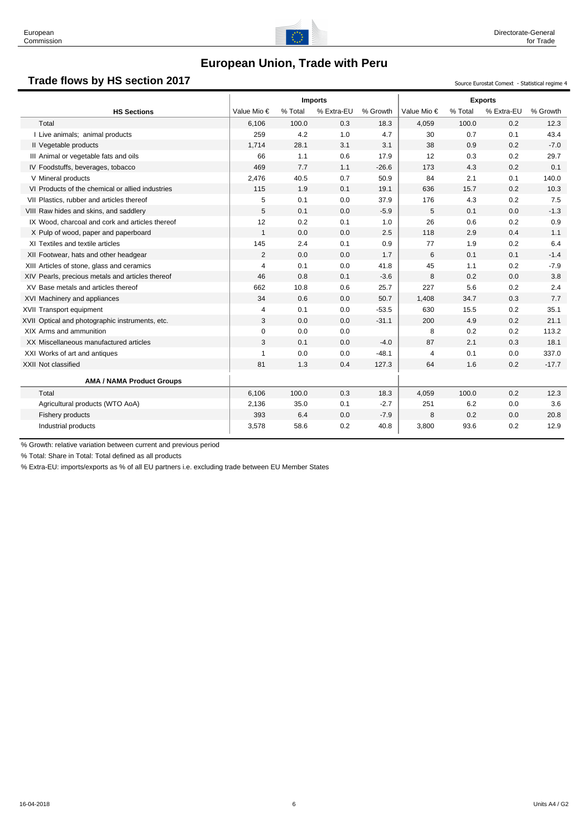

# **Trade flows by HS section 2017** Source Eurostat Comext - Statistical regime 4

|                                                  |                |         | <b>Imports</b> |          |                | <b>Exports</b> |            |          |
|--------------------------------------------------|----------------|---------|----------------|----------|----------------|----------------|------------|----------|
| <b>HS Sections</b>                               | Value Mio €    | % Total | % Extra-EU     | % Growth | Value Mio €    | % Total        | % Extra-EU | % Growth |
| Total                                            | 6.106          | 100.0   | 0.3            | 18.3     | 4,059          | 100.0          | 0.2        | 12.3     |
| I Live animals; animal products                  | 259            | 4.2     | 1.0            | 4.7      | 30             | 0.7            | 0.1        | 43.4     |
| Il Vegetable products                            | 1,714          | 28.1    | 3.1            | 3.1      | 38             | 0.9            | 0.2        | $-7.0$   |
| III Animal or vegetable fats and oils            | 66             | 1.1     | 0.6            | 17.9     | 12             | 0.3            | 0.2        | 29.7     |
| IV Foodstuffs, beverages, tobacco                | 469            | 7.7     | 1.1            | $-26.6$  | 173            | 4.3            | 0.2        | 0.1      |
| V Mineral products                               | 2,476          | 40.5    | 0.7            | 50.9     | 84             | 2.1            | 0.1        | 140.0    |
| VI Products of the chemical or allied industries | 115            | 1.9     | 0.1            | 19.1     | 636            | 15.7           | 0.2        | 10.3     |
| VII Plastics, rubber and articles thereof        | 5              | 0.1     | 0.0            | 37.9     | 176            | 4.3            | 0.2        | 7.5      |
| VIII Raw hides and skins, and saddlery           | 5              | 0.1     | 0.0            | $-5.9$   | 5              | 0.1            | 0.0        | $-1.3$   |
| IX Wood, charcoal and cork and articles thereof  | 12             | 0.2     | 0.1            | 1.0      | 26             | 0.6            | 0.2        | 0.9      |
| X Pulp of wood, paper and paperboard             | $\mathbf{1}$   | 0.0     | 0.0            | 2.5      | 118            | 2.9            | 0.4        | 1.1      |
| XI Textiles and textile articles                 | 145            | 2.4     | 0.1            | 0.9      | 77             | 1.9            | 0.2        | 6.4      |
| XII Footwear, hats and other headgear            | 2              | 0.0     | 0.0            | 1.7      | 6              | 0.1            | 0.1        | $-1.4$   |
| XIII Articles of stone, glass and ceramics       | $\overline{4}$ | 0.1     | 0.0            | 41.8     | 45             | 1.1            | 0.2        | $-7.9$   |
| XIV Pearls, precious metals and articles thereof | 46             | 0.8     | 0.1            | $-3.6$   | 8              | 0.2            | 0.0        | 3.8      |
| XV Base metals and articles thereof              | 662            | 10.8    | 0.6            | 25.7     | 227            | 5.6            | 0.2        | 2.4      |
| XVI Machinery and appliances                     | 34             | 0.6     | 0.0            | 50.7     | 1,408          | 34.7           | 0.3        | 7.7      |
| XVII Transport equipment                         | 4              | 0.1     | 0.0            | $-53.5$  | 630            | 15.5           | 0.2        | 35.1     |
| XVII Optical and photographic instruments, etc.  | 3              | 0.0     | 0.0            | $-31.1$  | 200            | 4.9            | 0.2        | 21.1     |
| XIX Arms and ammunition                          | 0              | 0.0     | 0.0            |          | 8              | 0.2            | 0.2        | 113.2    |
| XX Miscellaneous manufactured articles           | 3              | 0.1     | 0.0            | $-4.0$   | 87             | 2.1            | 0.3        | 18.1     |
| XXI Works of art and antiques                    | $\mathbf{1}$   | 0.0     | 0.0            | $-48.1$  | $\overline{4}$ | 0.1            | 0.0        | 337.0    |
| XXII Not classified                              | 81             | 1.3     | 0.4            | 127.3    | 64             | 1.6            | 0.2        | $-17.7$  |
| <b>AMA / NAMA Product Groups</b>                 |                |         |                |          |                |                |            |          |
| Total                                            | 6.106          | 100.0   | 0.3            | 18.3     | 4,059          | 100.0          | 0.2        | 12.3     |
| Agricultural products (WTO AoA)                  | 2,136          | 35.0    | 0.1            | $-2.7$   | 251            | 6.2            | 0.0        | 3.6      |
| Fishery products                                 | 393            | 6.4     | 0.0            | $-7.9$   | 8              | 0.2            | 0.0        | 20.8     |
| Industrial products                              | 3,578          | 58.6    | 0.2            | 40.8     | 3,800          | 93.6           | 0.2        | 12.9     |

% Growth: relative variation between current and previous period

% Total: Share in Total: Total defined as all products

% Extra-EU: imports/exports as % of all EU partners i.e. excluding trade between EU Member States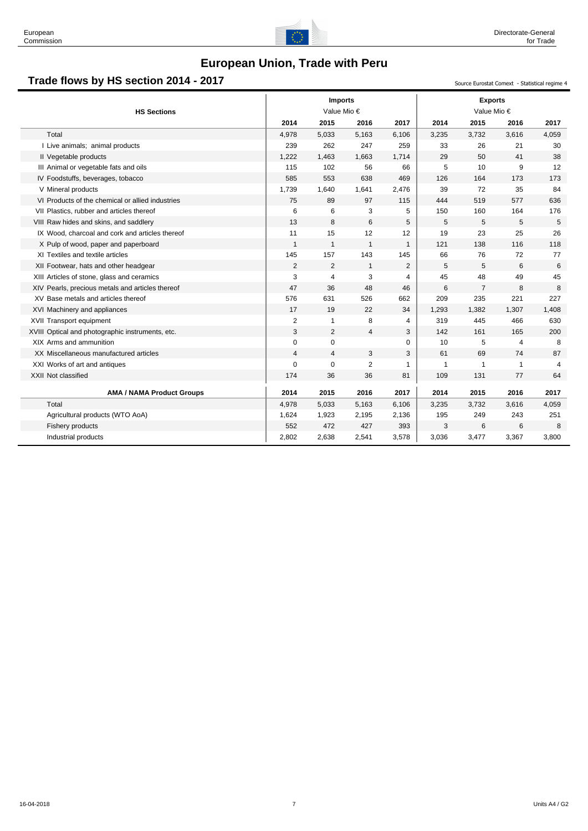

# Trade flows by HS section 2014 - 2017<br>
Source Eurostat Comext - Statistical regime 4

| 2015<br>2015<br>2014<br>2016<br>2017<br>2014<br>2016<br>Total<br>4,978<br>5,033<br>5,163<br>6,106<br>3,235<br>3,732<br>3,616<br>239<br>262<br>247<br>259<br>I Live animals; animal products<br>33<br>26<br>21<br>Il Vegetable products<br>1,222<br>1,663<br>29<br>50<br>41<br>1,463<br>1,714<br>10<br>III Animal or vegetable fats and oils<br>115<br>102<br>56<br>66<br>5<br>9<br>585<br>553<br>638<br>469<br>126<br>164<br>173<br>IV Foodstuffs, beverages, tobacco<br>V Mineral products<br>2,476<br>39<br>72<br>35<br>1,739<br>1,640<br>1,641<br>577<br>VI Products of the chemical or allied industries<br>75<br>89<br>97<br>115<br>444<br>519<br>6<br>6<br>5<br>150<br>VII Plastics, rubber and articles thereof<br>3<br>160<br>164<br>13<br>8<br>6<br>5<br>5<br>5<br>5<br>VIII Raw hides and skins, and saddlery<br>12<br>23<br>11<br>15<br>12<br>19<br>25<br>IX Wood, charcoal and cork and articles thereof<br>$\mathbf{1}$<br>121<br>138<br>116<br>X Pulp of wood, paper and paperboard<br>$\mathbf{1}$<br>$\mathbf{1}$<br>$\mathbf{1}$<br>157<br>143<br>145<br>66<br>76<br>XI Textiles and textile articles<br>145<br>72<br>$\overline{2}$<br>2<br>5<br>5<br>6<br>XII Footwear, hats and other headgear<br>$\mathbf{1}$<br>$\overline{2}$<br>48<br>3<br>45<br>49<br>4<br>3<br>$\overline{4}$<br>XIII Articles of stone, glass and ceramics<br>47<br>48<br>$\overline{7}$<br>XIV Pearls, precious metals and articles thereof<br>36<br>46<br>6<br>8<br>XV Base metals and articles thereof<br>576<br>526<br>209<br>235<br>221<br>631<br>662<br>XVI Machinery and appliances<br>17<br>19<br>22<br>34<br>1,293<br>1,382<br>1,307<br>XVII Transport equipment<br>2<br>8<br>319<br>445<br>466<br>1<br>4<br>3<br>$\overline{2}$<br>142<br>161<br>165<br>XVIII Optical and photographic instruments, etc.<br>4<br>3<br>5<br>XIX Arms and ammunition<br>0<br>$\mathbf 0$<br>$\mathbf 0$<br>10<br>$\overline{4}$<br>3<br>69<br>XX Miscellaneous manufactured articles<br>$\overline{4}$<br>$\overline{4}$<br>3<br>61<br>74<br>2<br>$\Omega$<br>$\mathbf 0$<br>$\mathbf{1}$<br>XXI Works of art and antiques<br>$\mathbf{1}$<br>$\mathbf{1}$<br>1<br>174<br>36<br>XXII Not classified<br>36<br>81<br>109<br>131<br>77<br>2016<br>2016<br><b>AMA / NAMA Product Groups</b><br>2014<br>2015<br>2017<br>2014<br>2015<br>Total<br>4,978<br>5,033<br>5,163<br>6,106<br>3,235<br>3,732<br>3,616<br>Agricultural products (WTO AoA)<br>1,624<br>1,923<br>2,195<br>195<br>249<br>243<br>2,136<br>472<br>Fishery products<br>552<br>427<br>393<br>3<br>6<br>6 | <b>HS Sections</b> |       | <b>Imports</b><br>Value Mio € |       |       | <b>Exports</b><br>Value Mio € |       |       |
|-------------------------------------------------------------------------------------------------------------------------------------------------------------------------------------------------------------------------------------------------------------------------------------------------------------------------------------------------------------------------------------------------------------------------------------------------------------------------------------------------------------------------------------------------------------------------------------------------------------------------------------------------------------------------------------------------------------------------------------------------------------------------------------------------------------------------------------------------------------------------------------------------------------------------------------------------------------------------------------------------------------------------------------------------------------------------------------------------------------------------------------------------------------------------------------------------------------------------------------------------------------------------------------------------------------------------------------------------------------------------------------------------------------------------------------------------------------------------------------------------------------------------------------------------------------------------------------------------------------------------------------------------------------------------------------------------------------------------------------------------------------------------------------------------------------------------------------------------------------------------------------------------------------------------------------------------------------------------------------------------------------------------------------------------------------------------------------------------------------------------------------------------------------------------------------------------------------------------------------------------------------------------------------------------------------------------------------------------------------------------------------------------------------------------------------------------------------------------------------------------------------------------------------------------------|--------------------|-------|-------------------------------|-------|-------|-------------------------------|-------|-------|
|                                                                                                                                                                                                                                                                                                                                                                                                                                                                                                                                                                                                                                                                                                                                                                                                                                                                                                                                                                                                                                                                                                                                                                                                                                                                                                                                                                                                                                                                                                                                                                                                                                                                                                                                                                                                                                                                                                                                                                                                                                                                                                                                                                                                                                                                                                                                                                                                                                                                                                                                                       |                    |       |                               |       |       |                               |       | 2017  |
|                                                                                                                                                                                                                                                                                                                                                                                                                                                                                                                                                                                                                                                                                                                                                                                                                                                                                                                                                                                                                                                                                                                                                                                                                                                                                                                                                                                                                                                                                                                                                                                                                                                                                                                                                                                                                                                                                                                                                                                                                                                                                                                                                                                                                                                                                                                                                                                                                                                                                                                                                       |                    |       |                               |       |       |                               |       | 4,059 |
|                                                                                                                                                                                                                                                                                                                                                                                                                                                                                                                                                                                                                                                                                                                                                                                                                                                                                                                                                                                                                                                                                                                                                                                                                                                                                                                                                                                                                                                                                                                                                                                                                                                                                                                                                                                                                                                                                                                                                                                                                                                                                                                                                                                                                                                                                                                                                                                                                                                                                                                                                       |                    |       |                               |       |       |                               |       | 30    |
|                                                                                                                                                                                                                                                                                                                                                                                                                                                                                                                                                                                                                                                                                                                                                                                                                                                                                                                                                                                                                                                                                                                                                                                                                                                                                                                                                                                                                                                                                                                                                                                                                                                                                                                                                                                                                                                                                                                                                                                                                                                                                                                                                                                                                                                                                                                                                                                                                                                                                                                                                       |                    |       |                               |       |       |                               |       | 38    |
|                                                                                                                                                                                                                                                                                                                                                                                                                                                                                                                                                                                                                                                                                                                                                                                                                                                                                                                                                                                                                                                                                                                                                                                                                                                                                                                                                                                                                                                                                                                                                                                                                                                                                                                                                                                                                                                                                                                                                                                                                                                                                                                                                                                                                                                                                                                                                                                                                                                                                                                                                       |                    |       |                               |       |       |                               |       | 12    |
|                                                                                                                                                                                                                                                                                                                                                                                                                                                                                                                                                                                                                                                                                                                                                                                                                                                                                                                                                                                                                                                                                                                                                                                                                                                                                                                                                                                                                                                                                                                                                                                                                                                                                                                                                                                                                                                                                                                                                                                                                                                                                                                                                                                                                                                                                                                                                                                                                                                                                                                                                       |                    |       |                               |       |       |                               |       | 173   |
|                                                                                                                                                                                                                                                                                                                                                                                                                                                                                                                                                                                                                                                                                                                                                                                                                                                                                                                                                                                                                                                                                                                                                                                                                                                                                                                                                                                                                                                                                                                                                                                                                                                                                                                                                                                                                                                                                                                                                                                                                                                                                                                                                                                                                                                                                                                                                                                                                                                                                                                                                       |                    |       |                               |       |       |                               |       | 84    |
|                                                                                                                                                                                                                                                                                                                                                                                                                                                                                                                                                                                                                                                                                                                                                                                                                                                                                                                                                                                                                                                                                                                                                                                                                                                                                                                                                                                                                                                                                                                                                                                                                                                                                                                                                                                                                                                                                                                                                                                                                                                                                                                                                                                                                                                                                                                                                                                                                                                                                                                                                       |                    |       |                               |       |       |                               |       | 636   |
|                                                                                                                                                                                                                                                                                                                                                                                                                                                                                                                                                                                                                                                                                                                                                                                                                                                                                                                                                                                                                                                                                                                                                                                                                                                                                                                                                                                                                                                                                                                                                                                                                                                                                                                                                                                                                                                                                                                                                                                                                                                                                                                                                                                                                                                                                                                                                                                                                                                                                                                                                       |                    |       |                               |       |       |                               |       | 176   |
|                                                                                                                                                                                                                                                                                                                                                                                                                                                                                                                                                                                                                                                                                                                                                                                                                                                                                                                                                                                                                                                                                                                                                                                                                                                                                                                                                                                                                                                                                                                                                                                                                                                                                                                                                                                                                                                                                                                                                                                                                                                                                                                                                                                                                                                                                                                                                                                                                                                                                                                                                       |                    |       |                               |       |       |                               |       | 5     |
|                                                                                                                                                                                                                                                                                                                                                                                                                                                                                                                                                                                                                                                                                                                                                                                                                                                                                                                                                                                                                                                                                                                                                                                                                                                                                                                                                                                                                                                                                                                                                                                                                                                                                                                                                                                                                                                                                                                                                                                                                                                                                                                                                                                                                                                                                                                                                                                                                                                                                                                                                       |                    |       |                               |       |       |                               |       | 26    |
|                                                                                                                                                                                                                                                                                                                                                                                                                                                                                                                                                                                                                                                                                                                                                                                                                                                                                                                                                                                                                                                                                                                                                                                                                                                                                                                                                                                                                                                                                                                                                                                                                                                                                                                                                                                                                                                                                                                                                                                                                                                                                                                                                                                                                                                                                                                                                                                                                                                                                                                                                       |                    |       |                               |       |       |                               |       | 118   |
|                                                                                                                                                                                                                                                                                                                                                                                                                                                                                                                                                                                                                                                                                                                                                                                                                                                                                                                                                                                                                                                                                                                                                                                                                                                                                                                                                                                                                                                                                                                                                                                                                                                                                                                                                                                                                                                                                                                                                                                                                                                                                                                                                                                                                                                                                                                                                                                                                                                                                                                                                       |                    |       |                               |       |       |                               |       | 77    |
|                                                                                                                                                                                                                                                                                                                                                                                                                                                                                                                                                                                                                                                                                                                                                                                                                                                                                                                                                                                                                                                                                                                                                                                                                                                                                                                                                                                                                                                                                                                                                                                                                                                                                                                                                                                                                                                                                                                                                                                                                                                                                                                                                                                                                                                                                                                                                                                                                                                                                                                                                       |                    |       |                               |       |       |                               |       | 6     |
|                                                                                                                                                                                                                                                                                                                                                                                                                                                                                                                                                                                                                                                                                                                                                                                                                                                                                                                                                                                                                                                                                                                                                                                                                                                                                                                                                                                                                                                                                                                                                                                                                                                                                                                                                                                                                                                                                                                                                                                                                                                                                                                                                                                                                                                                                                                                                                                                                                                                                                                                                       |                    |       |                               |       |       |                               |       | 45    |
|                                                                                                                                                                                                                                                                                                                                                                                                                                                                                                                                                                                                                                                                                                                                                                                                                                                                                                                                                                                                                                                                                                                                                                                                                                                                                                                                                                                                                                                                                                                                                                                                                                                                                                                                                                                                                                                                                                                                                                                                                                                                                                                                                                                                                                                                                                                                                                                                                                                                                                                                                       |                    |       |                               |       |       |                               |       | 8     |
|                                                                                                                                                                                                                                                                                                                                                                                                                                                                                                                                                                                                                                                                                                                                                                                                                                                                                                                                                                                                                                                                                                                                                                                                                                                                                                                                                                                                                                                                                                                                                                                                                                                                                                                                                                                                                                                                                                                                                                                                                                                                                                                                                                                                                                                                                                                                                                                                                                                                                                                                                       |                    |       |                               |       |       |                               |       | 227   |
|                                                                                                                                                                                                                                                                                                                                                                                                                                                                                                                                                                                                                                                                                                                                                                                                                                                                                                                                                                                                                                                                                                                                                                                                                                                                                                                                                                                                                                                                                                                                                                                                                                                                                                                                                                                                                                                                                                                                                                                                                                                                                                                                                                                                                                                                                                                                                                                                                                                                                                                                                       |                    |       |                               |       |       |                               |       | 1,408 |
|                                                                                                                                                                                                                                                                                                                                                                                                                                                                                                                                                                                                                                                                                                                                                                                                                                                                                                                                                                                                                                                                                                                                                                                                                                                                                                                                                                                                                                                                                                                                                                                                                                                                                                                                                                                                                                                                                                                                                                                                                                                                                                                                                                                                                                                                                                                                                                                                                                                                                                                                                       |                    |       |                               |       |       |                               |       | 630   |
|                                                                                                                                                                                                                                                                                                                                                                                                                                                                                                                                                                                                                                                                                                                                                                                                                                                                                                                                                                                                                                                                                                                                                                                                                                                                                                                                                                                                                                                                                                                                                                                                                                                                                                                                                                                                                                                                                                                                                                                                                                                                                                                                                                                                                                                                                                                                                                                                                                                                                                                                                       |                    |       |                               |       |       |                               |       | 200   |
|                                                                                                                                                                                                                                                                                                                                                                                                                                                                                                                                                                                                                                                                                                                                                                                                                                                                                                                                                                                                                                                                                                                                                                                                                                                                                                                                                                                                                                                                                                                                                                                                                                                                                                                                                                                                                                                                                                                                                                                                                                                                                                                                                                                                                                                                                                                                                                                                                                                                                                                                                       |                    |       |                               |       |       |                               |       | 8     |
|                                                                                                                                                                                                                                                                                                                                                                                                                                                                                                                                                                                                                                                                                                                                                                                                                                                                                                                                                                                                                                                                                                                                                                                                                                                                                                                                                                                                                                                                                                                                                                                                                                                                                                                                                                                                                                                                                                                                                                                                                                                                                                                                                                                                                                                                                                                                                                                                                                                                                                                                                       |                    |       |                               |       |       |                               |       | 87    |
|                                                                                                                                                                                                                                                                                                                                                                                                                                                                                                                                                                                                                                                                                                                                                                                                                                                                                                                                                                                                                                                                                                                                                                                                                                                                                                                                                                                                                                                                                                                                                                                                                                                                                                                                                                                                                                                                                                                                                                                                                                                                                                                                                                                                                                                                                                                                                                                                                                                                                                                                                       |                    |       |                               |       |       |                               |       | 4     |
|                                                                                                                                                                                                                                                                                                                                                                                                                                                                                                                                                                                                                                                                                                                                                                                                                                                                                                                                                                                                                                                                                                                                                                                                                                                                                                                                                                                                                                                                                                                                                                                                                                                                                                                                                                                                                                                                                                                                                                                                                                                                                                                                                                                                                                                                                                                                                                                                                                                                                                                                                       |                    |       |                               |       |       |                               |       | 64    |
|                                                                                                                                                                                                                                                                                                                                                                                                                                                                                                                                                                                                                                                                                                                                                                                                                                                                                                                                                                                                                                                                                                                                                                                                                                                                                                                                                                                                                                                                                                                                                                                                                                                                                                                                                                                                                                                                                                                                                                                                                                                                                                                                                                                                                                                                                                                                                                                                                                                                                                                                                       |                    |       |                               |       |       |                               |       | 2017  |
|                                                                                                                                                                                                                                                                                                                                                                                                                                                                                                                                                                                                                                                                                                                                                                                                                                                                                                                                                                                                                                                                                                                                                                                                                                                                                                                                                                                                                                                                                                                                                                                                                                                                                                                                                                                                                                                                                                                                                                                                                                                                                                                                                                                                                                                                                                                                                                                                                                                                                                                                                       |                    |       |                               |       |       |                               |       | 4,059 |
|                                                                                                                                                                                                                                                                                                                                                                                                                                                                                                                                                                                                                                                                                                                                                                                                                                                                                                                                                                                                                                                                                                                                                                                                                                                                                                                                                                                                                                                                                                                                                                                                                                                                                                                                                                                                                                                                                                                                                                                                                                                                                                                                                                                                                                                                                                                                                                                                                                                                                                                                                       |                    |       |                               |       |       |                               |       | 251   |
|                                                                                                                                                                                                                                                                                                                                                                                                                                                                                                                                                                                                                                                                                                                                                                                                                                                                                                                                                                                                                                                                                                                                                                                                                                                                                                                                                                                                                                                                                                                                                                                                                                                                                                                                                                                                                                                                                                                                                                                                                                                                                                                                                                                                                                                                                                                                                                                                                                                                                                                                                       |                    |       |                               |       |       |                               |       | 8     |
| Industrial products<br>3,036                                                                                                                                                                                                                                                                                                                                                                                                                                                                                                                                                                                                                                                                                                                                                                                                                                                                                                                                                                                                                                                                                                                                                                                                                                                                                                                                                                                                                                                                                                                                                                                                                                                                                                                                                                                                                                                                                                                                                                                                                                                                                                                                                                                                                                                                                                                                                                                                                                                                                                                          |                    | 2,802 | 2,638                         | 2,541 | 3,578 | 3,477                         | 3,367 | 3,800 |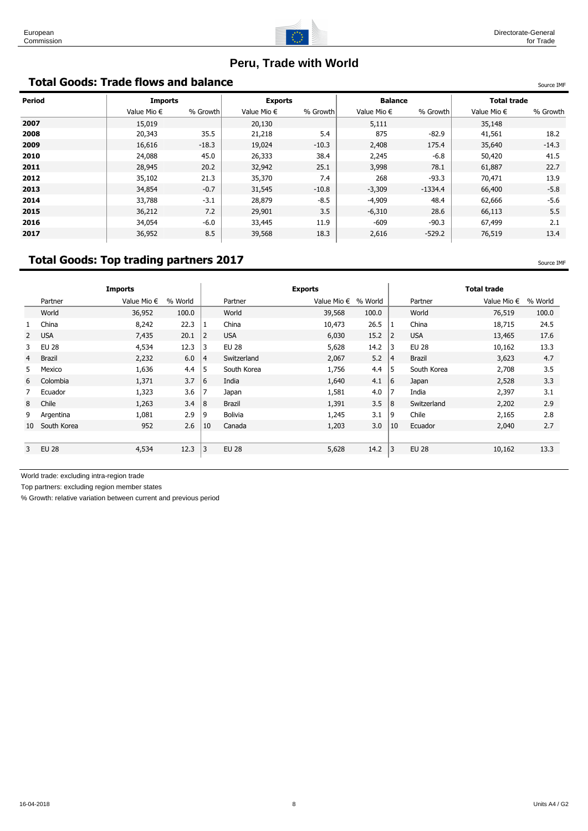

# **Peru, Trade with World**

## **Total Goods: Trade flows and balance** Source IMF And The Source IMF And The Source IMF

| Period | <b>Imports</b>       |          | <b>Exports</b>       |          | <b>Balance</b>       |           | <b>Total trade</b>   |          |  |
|--------|----------------------|----------|----------------------|----------|----------------------|-----------|----------------------|----------|--|
|        | Value Mio $\epsilon$ | % Growth | Value Mio $\epsilon$ | % Growth | Value Mio $\epsilon$ | % Growth  | Value Mio $\epsilon$ | % Growth |  |
| 2007   | 15,019               |          | 20,130               |          | 5,111                |           | 35,148               |          |  |
| 2008   | 20,343               | 35.5     | 21,218               | 5.4      | 875                  | $-82.9$   | 41,561               | 18.2     |  |
| 2009   | 16,616               | $-18.3$  | 19,024               | $-10.3$  | 2,408                | 175.4     | 35,640               | $-14.3$  |  |
| 2010   | 24,088               | 45.0     | 26,333               | 38.4     | 2,245                | $-6.8$    | 50,420               | 41.5     |  |
| 2011   | 28,945               | 20.2     | 32,942               | 25.1     | 3,998                | 78.1      | 61,887               | 22.7     |  |
| 2012   | 35,102               | 21.3     | 35,370               | 7.4      | 268                  | $-93.3$   | 70,471               | 13.9     |  |
| 2013   | 34,854               | $-0.7$   | 31,545               | $-10.8$  | $-3,309$             | $-1334.4$ | 66,400               | $-5.8$   |  |
| 2014   | 33,788               | $-3.1$   | 28,879               | $-8.5$   | $-4,909$             | 48.4      | 62,666               | $-5.6$   |  |
| 2015   | 36,212               | 7.2      | 29,901               | 3.5      | $-6,310$             | 28.6      | 66,113               | 5.5      |  |
| 2016   | 34,054               | $-6.0$   | 33,445               | 11.9     | $-609$               | $-90.3$   | 67,499               | 2.1      |  |
| 2017   | 36,952               | 8.5      | 39,568               | 18.3     | 2,616                | $-529.2$  | 76,519               | 13.4     |  |

# **Total Goods: Top trading partners 2017** Source 10 and the state of the state of the source IMF

|                                                                                                                                                                |                                                                                                                                 |                | <b>Exports</b>       |         |                |                              | <b>Total trade</b>   |         |
|----------------------------------------------------------------------------------------------------------------------------------------------------------------|---------------------------------------------------------------------------------------------------------------------------------|----------------|----------------------|---------|----------------|------------------------------|----------------------|---------|
| % World                                                                                                                                                        |                                                                                                                                 | Partner        | Value Mio $\epsilon$ | % World |                | Partner                      | Value Mio $\epsilon$ | % World |
| 100.0                                                                                                                                                          |                                                                                                                                 | World          | 39,568               | 100.0   |                | World                        | 76,519               | 100.0   |
| 22.3                                                                                                                                                           |                                                                                                                                 | China          | 10,473               | 26.5    |                | China                        | 18,715               | 24.5    |
| 20.1                                                                                                                                                           | $\overline{2}$                                                                                                                  | <b>USA</b>     | 6,030                | 15.2    | $\overline{2}$ | <b>USA</b>                   | 13,465               | 17.6    |
| 12.3                                                                                                                                                           | 3                                                                                                                               | <b>EU 28</b>   | 5,628                | 14.2    |                | <b>EU 28</b>                 | 10,162               | 13.3    |
| 6.0                                                                                                                                                            | $\overline{4}$                                                                                                                  | Switzerland    | 2,067                | 5.2     |                | Brazil                       | 3,623                | 4.7     |
| 4.4                                                                                                                                                            | 5                                                                                                                               | South Korea    | 1,756                | 4.4     |                | South Korea                  | 2,708                | 3.5     |
| 3.7                                                                                                                                                            | 6                                                                                                                               | India          | 1,640                | 4.1     |                | Japan                        | 2,528                | 3.3     |
| 3.6                                                                                                                                                            | 7                                                                                                                               | Japan          | 1,581                | 4.0     | 7              | India                        | 2,397                | 3.1     |
| 3.4                                                                                                                                                            | 8                                                                                                                               | Brazil         | 1,391                | 3.5     |                | Switzerland                  | 2,202                | 2.9     |
| 2.9                                                                                                                                                            | 9                                                                                                                               | <b>Bolivia</b> | 1,245                | 3.1     |                | Chile                        | 2,165                | 2.8     |
| 2.6                                                                                                                                                            | 10                                                                                                                              | Canada         | 1,203                | 3.0     | 10             | Ecuador                      | 2,040                | 2.7     |
|                                                                                                                                                                |                                                                                                                                 |                |                      |         |                |                              |                      |         |
| 12.3                                                                                                                                                           | 3                                                                                                                               | <b>EU 28</b>   | 5,628                | 14.2    | 3              | <b>EU 28</b>                 | 10,162               | 13.3    |
| Partner<br>World<br>China<br><b>USA</b><br><b>EU 28</b><br><b>Brazil</b><br>Mexico<br>Colombia<br>Ecuador<br>Chile<br>Argentina<br>South Korea<br><b>EU 28</b> | Value Mio $\epsilon$<br>36,952<br>8,242<br>7,435<br>4,534<br>2,232<br>1,636<br>1,371<br>1,323<br>1,263<br>1,081<br>952<br>4,534 |                |                      |         |                | 13<br> 4<br>5<br>6<br>8<br>9 |                      |         |

World trade: excluding intra-region trade

Top partners: excluding region member states

% Growth: relative variation between current and previous period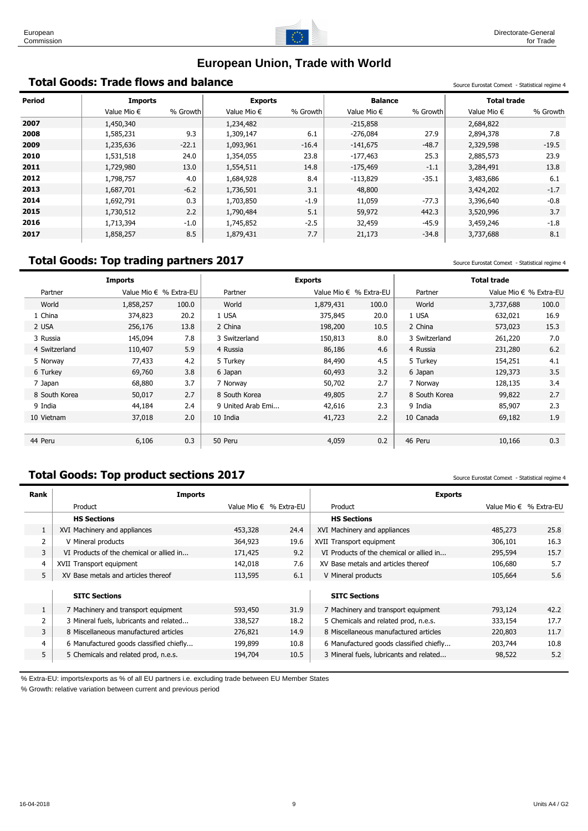

# **European Union, Trade with World**

# **Total Goods: Trade flows and balance** Statistical Comext - Statistical regime 4

| <b>Period</b> | <b>Imports</b>       |          | <b>Exports</b>       |          | <b>Balance</b>       |          | <b>Total trade</b>   |          |
|---------------|----------------------|----------|----------------------|----------|----------------------|----------|----------------------|----------|
|               | Value Mio $\epsilon$ | % Growth | Value Mio $\epsilon$ | % Growth | Value Mio $\epsilon$ | % Growth | Value Mio $\epsilon$ | % Growth |
| 2007          | 1,450,340            |          | 1,234,482            |          | $-215,858$           |          | 2,684,822            |          |
| 2008          | 1,585,231            | 9.3      | 1,309,147            | 6.1      | $-276,084$           | 27.9     | 2,894,378            | 7.8      |
| 2009          | 1,235,636            | $-22.1$  | 1,093,961            | $-16.4$  | $-141,675$           | $-48.7$  | 2,329,598            | $-19.5$  |
| 2010          | 1,531,518            | 24.0     | 1,354,055            | 23.8     | $-177,463$           | 25.3     | 2,885,573            | 23.9     |
| 2011          | 1,729,980            | 13.0     | 1,554,511            | 14.8     | $-175,469$           | $-1.1$   | 3,284,491            | 13.8     |
| 2012          | 1,798,757            | 4.0      | 1,684,928            | 8.4      | $-113,829$           | $-35.1$  | 3,483,686            | 6.1      |
| 2013          | 1,687,701            | $-6.2$   | 1,736,501            | 3.1      | 48,800               |          | 3,424,202            | $-1.7$   |
| 2014          | 1,692,791            | 0.3      | 1,703,850            | $-1.9$   | 11,059               | $-77.3$  | 3,396,640            | $-0.8$   |
| 2015          | 1,730,512            | 2.2      | 1,790,484            | 5.1      | 59,972               | 442.3    | 3,520,996            | 3.7      |
| 2016          | 1,713,394            | $-1.0$   | 1,745,852            | $-2.5$   | 32,459               | $-45.9$  | 3,459,246            | $-1.8$   |
| 2017          | 1,858,257            | 8.5      | 1,879,431            | 7.7      | 21,173               | $-34.8$  | 3,737,688            | 8.1      |

# **Total Goods: Top trading partners 2017** Source Eurostat Comext - Statistical regime 4

|               | <b>Imports</b> |                          |                   | <b>Exports</b> |                          |               | <b>Total trade</b>     |       |
|---------------|----------------|--------------------------|-------------------|----------------|--------------------------|---------------|------------------------|-------|
| Partner       |                | Value Mio $∈$ % Extra-EU | Partner           |                | Value Mio $∈$ % Extra-EU | Partner       | Value Mio € % Extra-EU |       |
| World         | 1,858,257      | 100.0                    | World             | 1,879,431      | 100.0                    | World         | 3,737,688              | 100.0 |
| 1 China       | 374,823        | 20.2                     | 1 USA             | 375,845        | 20.0                     | 1 USA         | 632,021                | 16.9  |
| 2 USA         | 256,176        | 13.8                     | 2 China           | 198,200        | 10.5                     | 2 China       | 573,023                | 15.3  |
| 3 Russia      | 145,094        | 7.8                      | 3 Switzerland     | 150,813        | 8.0                      | 3 Switzerland | 261,220                | 7.0   |
| 4 Switzerland | 110,407        | 5.9                      | 4 Russia          | 86,186         | 4.6                      | 4 Russia      | 231,280                | 6.2   |
| 5 Norway      | 77,433         | 4.2                      | 5 Turkey          | 84,490         | 4.5                      | 5 Turkey      | 154,251                | 4.1   |
| 6 Turkey      | 69,760         | 3.8                      | 6 Japan           | 60,493         | 3.2                      | 6 Japan       | 129,373                | 3.5   |
| 7 Japan       | 68,880         | 3.7                      | 7 Norway          | 50,702         | 2.7                      | 7 Norway      | 128,135                | 3.4   |
| 8 South Korea | 50,017         | 2.7                      | 8 South Korea     | 49,805         | 2.7                      | 8 South Korea | 99,822                 | 2.7   |
| 9 India       | 44,184         | 2.4                      | 9 United Arab Emi | 42,616         | 2.3                      | 9 India       | 85,907                 | 2.3   |
| 10 Vietnam    | 37,018         | 2.0                      | 10 India          | 41,723         | 2.2                      | 10 Canada     | 69,182                 | 1.9   |
|               |                |                          |                   |                |                          |               |                        |       |
| 44 Peru       | 6,106          | 0.3                      | 50 Peru           | 4,059          | 0.2                      | 46 Peru       | 10,166                 | 0.3   |

# **Total Goods: Top product sections 2017** Source Eurostat Comext - Statistical regime 4

| Rank | Imports                                  |         |                        | <b>Exports</b>                           |         |                          |
|------|------------------------------------------|---------|------------------------|------------------------------------------|---------|--------------------------|
|      | Product                                  |         | Value Mio € % Extra-EU | Product                                  |         | Value Mio $∈$ % Extra-EU |
|      | <b>HS Sections</b>                       |         |                        | <b>HS Sections</b>                       |         |                          |
|      | XVI Machinery and appliances             | 453,328 | 24.4                   | XVI Machinery and appliances             | 485,273 | 25.8                     |
| 2    | V Mineral products                       | 364,923 | 19.6                   | XVII Transport equipment                 | 306,101 | 16.3                     |
| 3    | VI Products of the chemical or allied in | 171,425 | 9.2                    | VI Products of the chemical or allied in | 295,594 | 15.7                     |
| 4    | XVII Transport equipment                 | 142,018 | 7.6                    | XV Base metals and articles thereof      | 106,680 | 5.7                      |
| 5    | XV Base metals and articles thereof      | 113,595 | 6.1                    | V Mineral products                       | 105,664 | 5.6                      |
|      |                                          |         |                        |                                          |         |                          |
|      | <b>SITC Sections</b>                     |         |                        | <b>SITC Sections</b>                     |         |                          |
|      | 7 Machinery and transport equipment      | 593,450 | 31.9                   | 7 Machinery and transport equipment      | 793,124 | 42.2                     |
|      | 3 Mineral fuels, lubricants and related  | 338,527 | 18.2                   | 5 Chemicals and related prod, n.e.s.     | 333,154 | 17.7                     |
| 3    | 8 Miscellaneous manufactured articles    | 276,821 | 14.9                   | 8 Miscellaneous manufactured articles    | 220,803 | 11.7                     |
| 4    | 6 Manufactured goods classified chiefly  | 199,899 | 10.8                   | 6 Manufactured goods classified chiefly  | 203,744 | 10.8                     |
| 5    | 5 Chemicals and related prod, n.e.s.     | 194,704 | 10.5                   | 3 Mineral fuels, lubricants and related  | 98,522  | 5.2                      |
|      |                                          |         |                        |                                          |         |                          |

% Extra-EU: imports/exports as % of all EU partners i.e. excluding trade between EU Member States

% Growth: relative variation between current and previous period